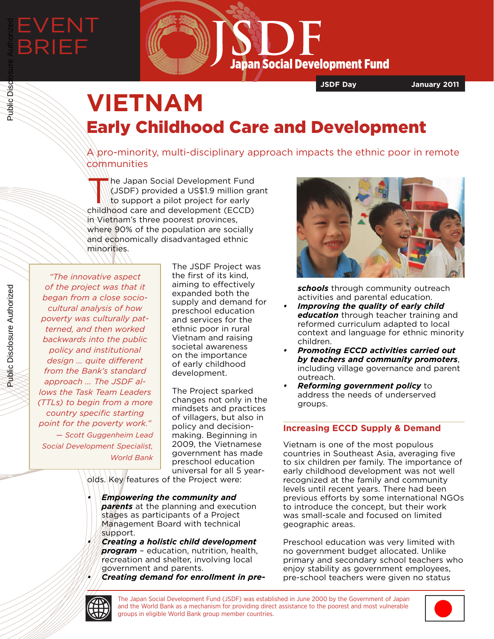

**JSDF Day January 2011**

# **VIETNAM** Early Childhood Care and Development

 $\mathbb A\backslash$ pro-minority, multi-disciplinary approach impacts the ethnic poor in remote communities

The Japan Social Development Fund<br>
(JSDF) provided a US\$1.9 million gradition<br>
to support a pilot project for early (JSDF) provided a US\$1.9 million grant to support a pilot project for early childhood care and development (ECCD) in Vietnam's three poorest provinces, where 90% of the population are socially and economically disadvantaged ethnic minorities.

*"The innovative aspect of the project was that it began from a close sociocultural analysis of how poverty was culturally patterned, and then worked backwards into the public policy and institutional design ... quite different from the Bank's standard approach ... The JSDF allows the Task Team Leaders (TTLs) to begin from a more country specific starting point for the poverty work." — Scott Guggenheim Lead Social Development Specialist, World Bank*

The JSDF Project was the first of its kind, aiming to effectively expanded both the supply and demand for preschool education and services for the ethnic poor in rural Vietnam and raising societal awareness on the importance of early childhood development.

The Project sparked changes not only in the mindsets and practices of villagers, but also in policy and decisionmaking. Beginning in 2009, the Vietnamese government has made preschool education universal for all 5 year-

olds. Key features of the Project were:

- *• Empowering the community and parents* at the planning and execution stages as participants of a Project Management Board with technical support.
- *• Creating a holistic child development program* – education, nutrition, health, recreation and shelter, involving local government and parents.
- *• Creating demand for enrollment in pre-*



*schools* through community outreach activities and parental education.

- *• Improving the quality of early child education* through teacher training and reformed curriculum adapted to local context and language for ethnic minority children.
- *Promoting ECCD activities carried out by teachers and community promoters*, including village governance and parent outreach.
- *• Reforming government policy* to address the needs of underserved groups.

# **Increasing ECCD Supply & Demand**

Vietnam is one of the most populous countries in Southeast Asia, averaging five to six children per family. The importance of early childhood development was not well recognized at the family and community levels until recent years. There had been previous efforts by some international NGOs to introduce the concept, but their work was small-scale and focused on limited geographic areas.

Preschool education was very limited with no government budget allocated. Unlike primary and secondary school teachers who enjoy stability as government employees, pre-school teachers were given no status



The Japan Social Development Fund (JSDF) was established in June 2000 by the Government of Japan and the World Bank as a mechanism for providing direct assistance to the poorest and most vulnerable groups in eligible World Bank group member countries.



Public Disclosure Authorized

Public Disclosure Authorized

Public Disc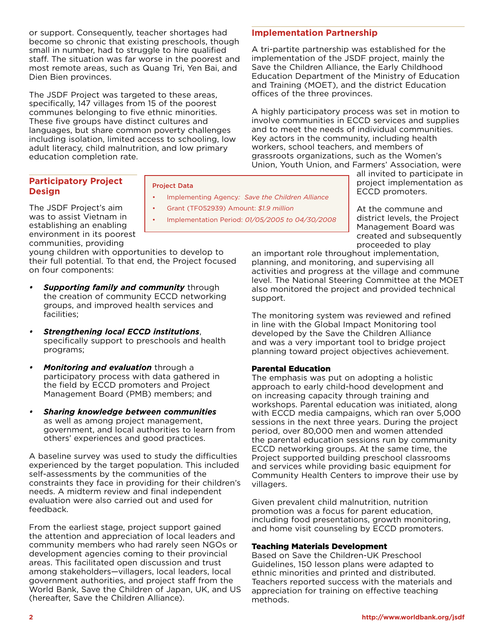or support. Consequently, teacher shortages had become so chronic that existing preschools, though small in number, had to struggle to hire qualified staff. The situation was far worse in the poorest and most remote areas, such as Quang Tri, Yen Bai, and Dien Bien provinces.

The JSDF Project was targeted to these areas, specifically, 147 villages from 15 of the poorest communes belonging to five ethnic minorities. These five groups have distinct cultures and languages, but share common poverty challenges including isolation, limited access to schooling, low adult literacy, child malnutrition, and low primary education completion rate.

# **Participatory Project Design**

Project Data

- Implementing Agency*: Save the Children Alliance*
- Grant (TF052939) Amount: *\$1.9 million*
- Implementation Period: *01/05/2005 to 04/30/2008*

The JSDF Project's aim was to assist Vietnam in establishing an enabling environment in its poorest communities, providing

young children with opportunities to develop to their full potential. To that end, the Project focused on four components:

- *Supporting family and community through* the creation of community ECCD networking groups, and improved health services and facilities;
- *• Strengthening local ECCD institutions*, specifically support to preschools and health programs;
- *Monitoring and evaluation* through a participatory process with data gathered in the field by ECCD promoters and Project Management Board (PMB) members; and
- *• Sharing knowledge between communities* as well as among project management, government, and local authorities to learn from others' experiences and good practices.

A baseline survey was used to study the difficulties experienced by the target population. This included self-assessments by the communities of the constraints they face in providing for their children's needs. A midterm review and final independent evaluation were also carried out and used for feedback.

From the earliest stage, project support gained the attention and appreciation of local leaders and community members who had rarely seen NGOs or development agencies coming to their provincial areas. This facilitated open discussion and trust among stakeholders—villagers, local leaders, local government authorities, and project staff from the World Bank, Save the Children of Japan, UK, and US (hereafter, Save the Children Alliance).

# **Implementation Partnership**

A tri-partite partnership was established for the implementation of the JSDF project, mainly the Save the Children Alliance, the Early Childhood Education Department of the Ministry of Education and Training (MOET), and the district Education offices of the three provinces.

A highly participatory process was set in motion to involve communities in ECCD services and supplies and to meet the needs of individual communities. Key actors in the community, including health workers, school teachers, and members of grassroots organizations, such as the Women's Union, Youth Union, and Farmers' Association, were

all invited to participate in project implementation as ECCD promoters.

At the commune and district levels, the Project Management Board was created and subsequently proceeded to play

an important role throughout implementation, planning, and monitoring, and supervising all activities and progress at the village and commune level. The National Steering Committee at the MOET also monitored the project and provided technical support.

The monitoring system was reviewed and refined in line with the Global Impact Monitoring tool developed by the Save the Children Alliance and was a very important tool to bridge project planning toward project objectives achievement.

#### Parental Education

The emphasis was put on adopting a holistic approach to early child-hood development and on increasing capacity through training and workshops. Parental education was initiated, along with ECCD media campaigns, which ran over 5,000 sessions in the next three years. During the project period, over 80,000 men and women attended the parental education sessions run by community ECCD networking groups. At the same time, the Project supported building preschool classrooms and services while providing basic equipment for Community Health Centers to improve their use by villagers.

Given prevalent child malnutrition, nutrition promotion was a focus for parent education, including food presentations, growth monitoring, and home visit counseling by ECCD promoters.

#### Teaching Materials Development

Based on Save the Children-UK Preschool Guidelines, 150 lesson plans were adapted to ethnic minorities and printed and distributed. Teachers reported success with the materials and appreciation for training on effective teaching methods.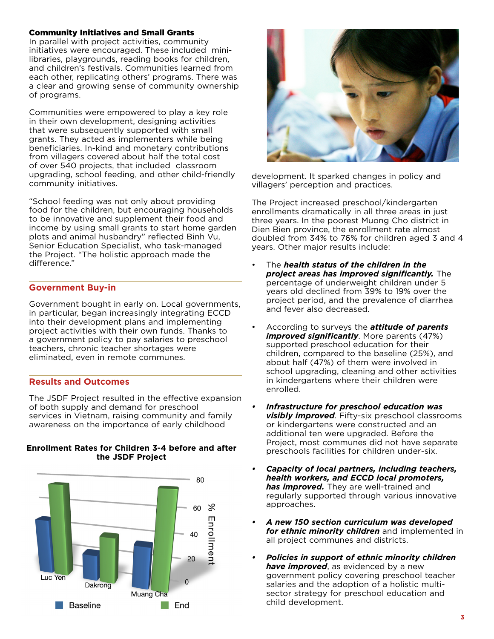#### Community Initiatives and Small Grants

In parallel with project activities, community initiatives were encouraged. These included minilibraries, playgrounds, reading books for children, and children's festivals. Communities learned from each other, replicating others' programs. There was a clear and growing sense of community ownership of programs.

Communities were empowered to play a key role in their own development, designing activities that were subsequently supported with small grants. They acted as implementers while being beneficiaries. In-kind and monetary contributions from villagers covered about half the total cost of over 540 projects, that included classroom upgrading, school feeding, and other child-friendly community initiatives.

"School feeding was not only about providing food for the children, but encouraging households to be innovative and supplement their food and income by using small grants to start home garden plots and animal husbandry" reflected Binh Vu, Senior Education Specialist, who task-managed the Project. "The holistic approach made the difference."

## **Government Buy-in**

Government bought in early on. Local governments, in particular, began increasingly integrating ECCD into their development plans and implementing project activities with their own funds. Thanks to a government policy to pay salaries to preschool teachers, chronic teacher shortages were eliminated, even in remote communes.

## **Results and Outcomes**

The JSDF Project resulted in the effective expansion of both supply and demand for preschool services in Vietnam, raising community and family awareness on the importance of early childhood



#### **Enrollment Rates for Children 3-4 before and after the JSDF Project**



development. It sparked changes in policy and villagers' perception and practices.

The Project increased preschool/kindergarten enrollments dramatically in all three areas in just three years. In the poorest Muong Cho district in Dien Bien province, the enrollment rate almost doubled from 34% to 76% for children aged 3 and 4 years. Other major results include:

- The *health status of the children in the project areas has improved significantly.* The percentage of underweight children under 5 years old declined from 39% to 19% over the project period, and the prevalence of diarrhea and fever also decreased.
- According to surveys the *attitude of parents improved significantly*. More parents (47%) supported preschool education for their children, compared to the baseline (25%), and about half (47%) of them were involved in school upgrading, cleaning and other activities in kindergartens where their children were enrolled.
- *• Infrastructure for preschool education was visibly improved*. Fifty-six preschool classrooms or kindergartens were constructed and an additional ten were upgraded. Before the Project, most communes did not have separate preschools facilities for children under-six.
- *• Capacity of local partners, including teachers, health workers, and ECCD local promoters, has improved.* They are well-trained and regularly supported through various innovative approaches.
- *• A new 150 section curriculum was developed for ethnic minority children* and implemented in all project communes and districts.
- *• Policies in support of ethnic minority children have improved*, as evidenced by a new government policy covering preschool teacher salaries and the adoption of a holistic multisector strategy for preschool education and child development.